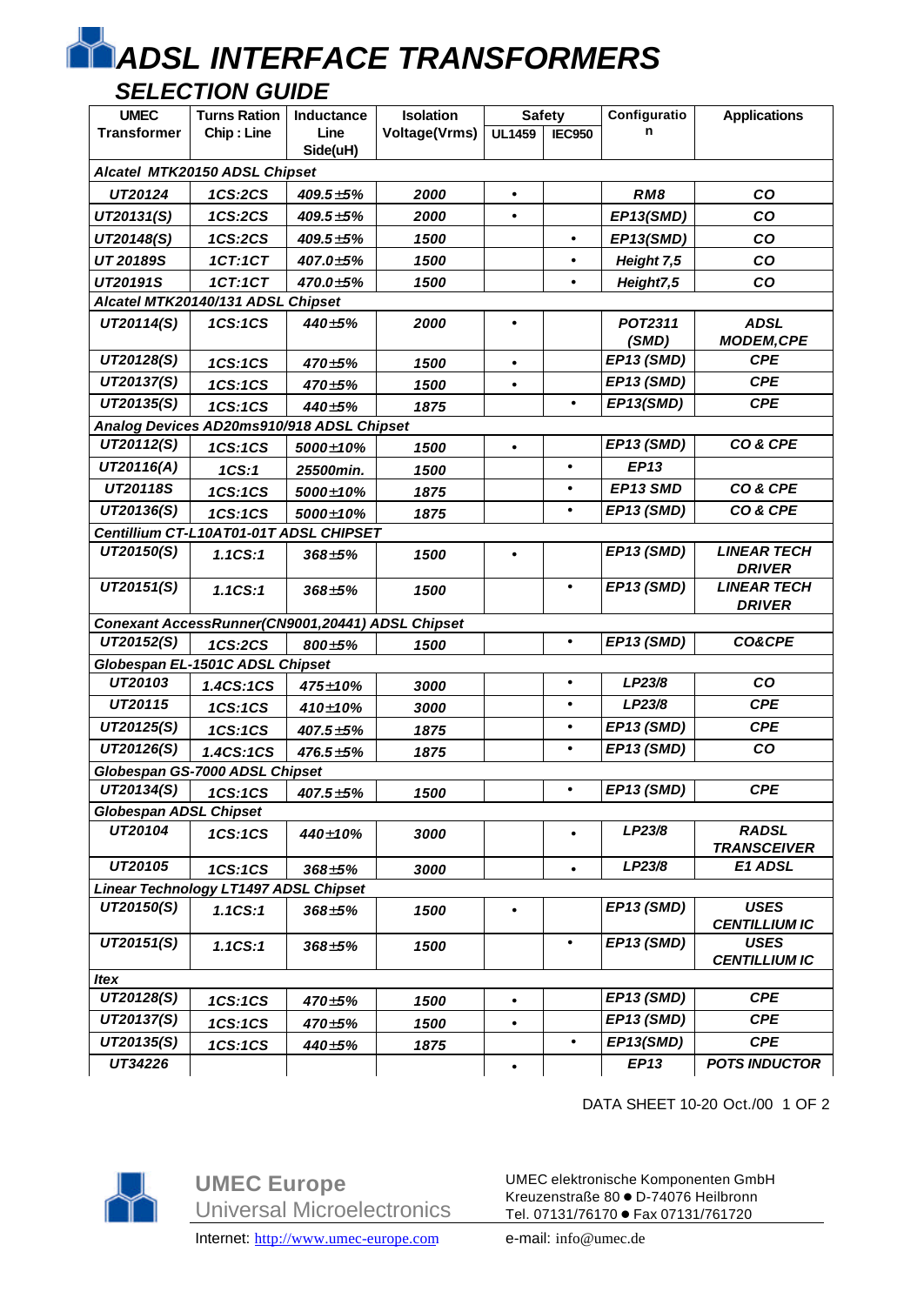## *ADSL INTERFACE TRANSFORMERS*

## *SELECTION GUIDE*

| <b>UMEC</b>                                                                                                             | <b>Turns Ration</b>                              | Inductance      | Isolation            | <b>Safety</b> |               | Configuratio     | <b>Applications</b>                 |  |  |  |  |  |
|-------------------------------------------------------------------------------------------------------------------------|--------------------------------------------------|-----------------|----------------------|---------------|---------------|------------------|-------------------------------------|--|--|--|--|--|
| <b>Transformer</b>                                                                                                      | Chip: Line                                       | Line            | <b>Voltage(Vrms)</b> | <b>UL1459</b> | <b>IEC950</b> | n                |                                     |  |  |  |  |  |
|                                                                                                                         |                                                  | Side(uH)        |                      |               |               |                  |                                     |  |  |  |  |  |
| Alcatel MTK20150 ADSL Chipset                                                                                           |                                                  |                 |                      |               |               |                  |                                     |  |  |  |  |  |
| UT20124                                                                                                                 | 1CS:2CS                                          | $409.5 \pm 5\%$ | 2000                 | $\bullet$     |               | RM8              | co                                  |  |  |  |  |  |
| UT20131(S)                                                                                                              | 1CS:2CS                                          | $409.5 \pm 5\%$ | 2000                 |               |               | EP13(SMD)        | co                                  |  |  |  |  |  |
| UT20148(S)                                                                                                              | 1CS:2CS                                          | $409.5 \pm 5\%$ | 1500                 |               | $\bullet$     | EP13(SMD)        | co                                  |  |  |  |  |  |
| UT 20189S                                                                                                               | 1CT:1CT                                          | 407.0±5%        | 1500                 |               |               | Height 7,5       | <b>CO</b>                           |  |  |  |  |  |
| UT20191S                                                                                                                | 1CT:1CT                                          | 470.0±5%        | 1500                 |               | $\bullet$     | Height7,5        | CO                                  |  |  |  |  |  |
| Alcatel MTK20140/131 ADSL Chipset                                                                                       |                                                  |                 |                      |               |               |                  |                                     |  |  |  |  |  |
| UT20114(S)                                                                                                              | 1CS:1CS                                          | $440 \pm 5%$    | 2000                 |               |               | POT2311<br>(SMD) | <b>ADSL</b><br><b>MODEM, CPE</b>    |  |  |  |  |  |
| UT20128(S)                                                                                                              | 1CS:1CS                                          | $470 \pm 5\%$   | 1500                 |               |               | EP13 (SMD)       | <b>CPE</b>                          |  |  |  |  |  |
| UT20137(S)                                                                                                              | 1CS:1CS                                          | $470 \pm 5%$    | 1500                 | $\bullet$     |               | EP13 (SMD)       | <b>CPE</b>                          |  |  |  |  |  |
| UT20135(S)                                                                                                              | 1CS:1CS                                          | 440±5%          | 1875                 |               |               | EP13(SMD)        | <b>CPE</b>                          |  |  |  |  |  |
|                                                                                                                         | Analog Devices AD20ms910/918 ADSL Chipset        |                 |                      |               |               |                  |                                     |  |  |  |  |  |
| UT20112(S)                                                                                                              | 1CS:1CS                                          | 5000±10%        | 1500                 |               |               | EP13 (SMD)       | CO& CPE                             |  |  |  |  |  |
| UT20116(A)                                                                                                              | 1CS:1                                            | 25500min.       | 1500                 |               |               | <b>EP13</b>      |                                     |  |  |  |  |  |
| UT20118S                                                                                                                | 1CS:1CS                                          | 5000±10%        | 1875                 |               | $\bullet$     | EP13 SMD         | CO& CPE                             |  |  |  |  |  |
| UT20136(S)                                                                                                              | 1CS:1CS                                          | 5000±10%        | 1875                 |               | $\bullet$     | EP13 (SMD)       | CO& CPE                             |  |  |  |  |  |
|                                                                                                                         | Centillium CT-L10AT01-01T ADSL CHIPSET           |                 |                      |               |               |                  |                                     |  |  |  |  |  |
| UT20150(S)                                                                                                              | 1.1CS:1                                          | $368 \pm 5%$    | 1500                 |               |               | EP13 (SMD)       | <b>LINEAR TECH</b><br><b>DRIVER</b> |  |  |  |  |  |
| UT20151(S)                                                                                                              | 1.1CS:1                                          | $368 + 5%$      | 1500                 |               | $\bullet$     | EP13 (SMD)       | <b>LINEAR TECH</b><br><b>DRIVER</b> |  |  |  |  |  |
|                                                                                                                         | Conexant AccessRunner(CN9001,20441) ADSL Chipset |                 |                      |               |               |                  |                                     |  |  |  |  |  |
| UT20152(S)                                                                                                              | 1CS:2CS                                          | $800 \pm 5\%$   | 1500                 |               | $\bullet$     | EP13 (SMD)       | CO&CPE                              |  |  |  |  |  |
|                                                                                                                         | Globespan EL-1501C ADSL Chipset                  |                 |                      |               |               |                  |                                     |  |  |  |  |  |
| UT20103                                                                                                                 | 1.4CS:1CS                                        | 475±10%         | 3000                 |               | $\bullet$     | LP23/8           | co                                  |  |  |  |  |  |
| UT20115                                                                                                                 | 1CS:1CS                                          | 410±10%         | 3000                 |               |               | LP23/8           | <b>CPE</b>                          |  |  |  |  |  |
| UT20125(S)                                                                                                              | 1CS:1CS                                          | $407.5 \pm 5\%$ | 1875                 |               |               | EP13 (SMD)       | <b>CPE</b>                          |  |  |  |  |  |
| UT20126(S)                                                                                                              | 1.4CS:1CS                                        | $476.5 \pm 5\%$ | 1875                 |               | $\bullet$     | EP13 (SMD)       | co                                  |  |  |  |  |  |
|                                                                                                                         | Globespan GS-7000 ADSL Chipset                   |                 |                      |               |               |                  |                                     |  |  |  |  |  |
| UT20134(S)                                                                                                              | 1CS:1CS                                          | $407.5 \pm 5\%$ | 1500                 |               |               | EP13 (SMD)       | <b>CPE</b>                          |  |  |  |  |  |
| <b>Globespan ADSL Chipset</b>                                                                                           |                                                  |                 |                      |               |               |                  |                                     |  |  |  |  |  |
| UT20104                                                                                                                 | 1CS:1CS                                          | 440±10%         | 3000                 |               |               | LP23/8           | <b>RADSL</b>                        |  |  |  |  |  |
|                                                                                                                         |                                                  |                 |                      |               |               |                  | <b>TRANSCEIVER</b>                  |  |  |  |  |  |
| LP23/8<br>UT20105<br><b>E1 ADSL</b><br>1CS:1CS<br>$368 \pm 5\%$<br>3000<br><b>Linear Technology LT1497 ADSL Chipset</b> |                                                  |                 |                      |               |               |                  |                                     |  |  |  |  |  |
| UT20150(S)                                                                                                              |                                                  |                 |                      |               |               | EP13 (SMD)       | <b>USES</b>                         |  |  |  |  |  |
|                                                                                                                         | 1.1CS:1                                          | $368 \pm 5\%$   | 1500                 |               |               |                  | <b>CENTILLIUM IC</b>                |  |  |  |  |  |
| UT20151(S)                                                                                                              | 1.1CS:1                                          | $368 + 5%$      | 1500                 |               | $\bullet$     | EP13 (SMD)       | <b>USES</b><br><b>CENTILLIUM IC</b> |  |  |  |  |  |
| <b>Itex</b>                                                                                                             |                                                  |                 |                      |               |               |                  |                                     |  |  |  |  |  |
| UT20128(S)                                                                                                              | 1CS:1CS                                          | $470 \pm 5\%$   | 1500                 |               |               | EP13 (SMD)       | <b>CPE</b>                          |  |  |  |  |  |
| UT20137(S)                                                                                                              | 1CS:1CS                                          | $470 \pm 5\%$   | 1500                 |               |               | EP13 (SMD)       | <b>CPE</b>                          |  |  |  |  |  |
| UT20135(S)                                                                                                              | 1CS:1CS                                          | 440±5%          | 1875                 |               | $\bullet$     | EP13(SMD)        | <b>CPE</b>                          |  |  |  |  |  |
| UT34226                                                                                                                 |                                                  |                 |                      |               |               | EP13             | <b>POTS INDUCTOR</b>                |  |  |  |  |  |

DATA SHEET 10-20 Oct./00 1 OF 2



**UMEC Europe** Universal Microelectronics Internet: http://www.umec-europe.com e-mail: info@umec.de

UMEC elektronische Komponenten GmbH Kreuzenstraße 80 · D-74076 Heilbronn Tel. 07131/76170 · Fax 07131/761720